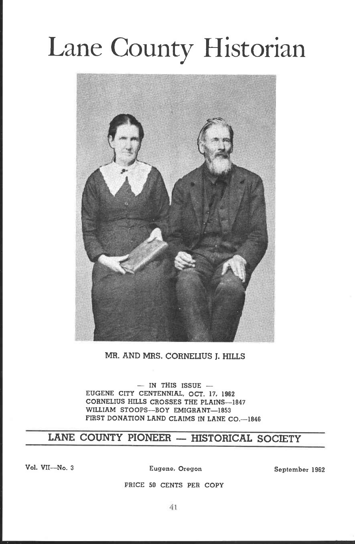# Lane County Historian



#### MR. AND MRS. CORNELIUS I. HILLS

 $-$  IN THIS ISSUE  $-$ EUGENE CITY CENTENNIAL, OCT. 17, 1962 CORNELIUS HILLS CROSSES THE PLAINS-1847 WILLIAM STOOPS-BOY EMIGRANT-1853 FIRST DONATION LAND CLAIMS IN LANE CO.-1846

### LANE COUNTY PIONEER - HISTORICAL SOCIETY

Vol. VII—No. 3 **Eugene, Oregon** September 1962

PRICE 50 CENTS PER COPY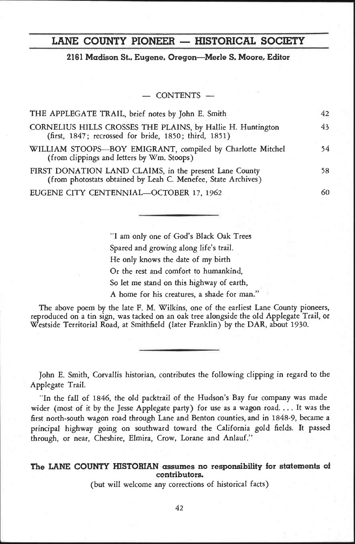#### LANE COUNTY PIONEER - HISTORICAL SOCIETY

#### 2161 Madison St., Eugene, Oregon-Merle S. Moore, Editor

CONTENTS -

| THE APPLEGATE TRAIL, brief notes by John E. Smith                                                                       | 42 |
|-------------------------------------------------------------------------------------------------------------------------|----|
| CORNELIUS HILLS CROSSES THE PLAINS, by Hallie H. Huntington<br>(first, 1847; recrossed for bride, 1850; third, 1851)    | 43 |
| WILLIAM STOOPS-BOY EMIGRANT, compiled by Charlotte Mitchel<br>(from clippings and letters by Wm. Stoops)                | 54 |
| FIRST DONATION LAND CLAIMS, in the present Lane County<br>(from photostats obtained by Leah C. Menefee, State Archives) | 58 |
| EUGENE CITY CENTENNIAL-OCTOBER 17, 1962                                                                                 | 60 |

"I am only one of God's Black Oak Trees Spared and growing along life's trail. He only knows the date of my birth Or the rest and comfort to humankind, So let me stand on this highway of earth, A home for his creatures, a shade for man."

The above poem by the late F. M. Wilkins, one of the earliest Lane County pioneers, reproduced on a tin sign, was tacked on an oak tree alongside the old Applegate Trail, or Westside Territorial Road, at Smithfield (later Franklin) by the DAR, about 1930.

John E. Smith, Corvallis historian, contributes the following clipping in regard to the Applegate Trail.

"In the fall of 1846, the old packtrail of the Hudson's Bay fur company was made wider (most of it by the Jesse Applegate party) for use as a wagon road.... It was the first north-south wagon road through Lane and Benton counties, and in 1848-9, became a principal highway going on southward toward the California gold fields. It passed through, or near, Cheshire, Elmira, Crow, Lorane and Anlauf."

### The LANE COUNTY HISTORIAN assumes no responsibility for statements of contributors.

(but will welcome any corrections of historical facts)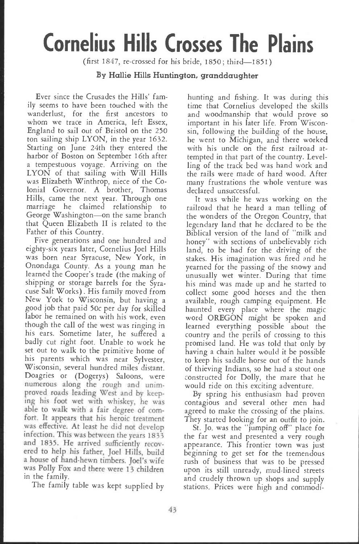# Cornelius Hills Crosses The Plains

(first 1847, re-crossed for his bride, 1850; third-1851)

#### By Hallie Hills Huntington, granddaughter

Ever since the Crusades the Hills' family seems to have been touched with the wanderlust, for the first ancestors to whom we trace in America, left Essex, England to sail out of Bristol on the 250 ton sailing ship LYON, in the year 1632. Starting on June 24th they entered the harbor of Boston on September 16th after a tempestuous voyage. Arriving on the LYON of that sailing with Will Hills was Elizabeth Winthrop, niece of the Colonial Governor. A brother, Thomas Hills, came the next year. Through one marriage he claimed relationship to George Washington-on the same branch that Queen Elizabeth II is related to the Father of this Country.

numerous along the rough and unimproved roads leading West and by keeping his foot wet with whiskey, he was able to walk with a fair degree of comfort. It appears that his heroic treatment was effective. Ar least he did not develop infection. This was between the years 1833 and 1835. He arrived sufficiently recov- ered to help his father, Joel Hills, build a house of hand-hewn timbers. Joel's wife was Polly Fox and there were 13 children Five generations and one hundred and eighty-six years later, Cornelius Joel Hills was born near Syracuse, New York, in Onondaga County. As a young man he learned the Cooper's trade (the making of shipping or storage barrels for the Syracuse Salt Works). His family moved from New York to Wisconsin, but having a good job that paid SOc per day for skilled labor he remained on with his work, even though the call of the west was ringing in his ears. Sometime later, he suffered a badly cut right foot. Unable to work he set out to walk to the primitive home of his parents which was near Sylvester, 'Wisconsin, several hundred miles distant. Doagries or (Dogerys) Saloons, were in the family.

The family table was kept supplied by

hunting and fishing. It was during this time that Cornelius developed the skills and woodmanship that would prove so important in his later life. From Wisconsin, following the building of the house, he went to Michigan, and there worked with his uncle on the first railroad attempted in that part of the country. Levelling of the track bed was hand work and the rails were made of hard wood. After many frustrations the whole venture was declared unsuccessful.

It was while he was working on the railroad that he heard a man telling of the wonders of the Oregon Country, that legendary land that he declared to be the Biblical version of the land of "milk and honey" with sections of unbelievably rich land, to be had for the driving of the stakes. His imagination was fired and he yearned for the passing of the snowy and unusually wet winter. During that time his mind was made up and he started to collect some good horses and the then available, rough camping equipment. He haunted every place where the magic word OREGON might be spoken and learned everything possible about the country and the perils of crossing to this promised land. He was told that only by having a chain halter would it be possible to keep his saddle horse out of the hands of thieving Indians, so he had a stout one constructed for Dolly, the mare that he would ride on this exciting adventure.

By spring his enthusiasm had proven contagious and several other men had agreed to make the crossing of the plains. They started looking for an outfit to join.

St. Jo. was the "jumping off" place for the far west and presented a very rough appearance. This frontier town was just beginning to get set for the tremendous rush of business that was to be pressed upon its still unready, mud-lined streets and crudely thrown up shops and supply stations. Prices were high and commodi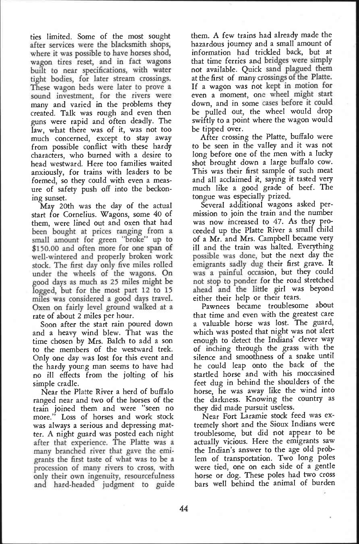after services were the blacksmith shops, where it was possible to have horses shod, wagon tires reset, and in fact wagons built to near specifications, with water tight bodies, for later stream crossings. These wagon beds were later to prove a sound investment, for the rivers were ties limited. Some of the most sought many and varied in the problems they created. Talk was rough and even then guns were rapid and often deadly. The law, what there was of it, was not too much concerned, except to stay away from possible conflict with these hardy characters, who burned with a desire to head westward. Here too families waited anxiously, for trains with leaders to be formed, so they could with even a measure of safety push off into the beckon-

been bought at prices ranging from a small amount for green "broke" up to of a Mr. and Mrs. Campbell became very \$150.00 and often more for one span of ill and the train was halted. Everything \$150.00 and often more for one span of<br>well-wintered and properly broken work stock. The first day only five miles rolled under the wheels of the wagons. On good days as much as 25 miles might be logged, but for the most part 12 to 15 miles was considered a good days travel. Oxen on fairly level ground walked at a ing sunset. May 20th was the day of the actual start for Cornelius. Wagons, some 40 of them, were lined out and oxen that had rate of about 2 miles per hour.

Soon after the start rain poured down and a heavy wind blew. That was the which was posted that night was not alert<br>time chosen by Mrs. Balch to add a son enough to detect the Indians' clever way time chosen by Mrs. Balch to add a son to the members of the westward trek. Only one day was lost for this event and the hardy young man seems to have had no ill effects from the jolting of his simple cradle.

after that experience. The Platte was a many branched river that gave the emigrants the first taste of what was to be a procession of many rivers to cross, with only their own ingenuity, resourcefulness and hard-headed judgment to guide Near the Platte River a herd of buffalo ranged near and two of the horses of the train joined them and were "seen no more." Loss of horses and work stock was always a serious and depressing matter. A night guard was posted each night

that time ferries and bridges were simply not available. Quick sand plagued them at the first of many crossings of the Platte. If a wagon was not kept in motion for even a moment, one wheel might start down, and in some cases before it could them. A few trains had already made the hazardous journey and a small amount of information had trickled back, but at be pulled out, the wheel would drop swiftly to a point where the wagon would be tipped over.

After crossing the Platte, buffalo were to be seen in the valley and it was not long before one of the men with a lucky shot brought down a large buffalo cow. This was their first sample of such meat and all acclaimed it, saying it tasted very much like a good grade of beef. The tongue was especially prized.

Several additional wagons asked permission to join the train and the number was now increased to 47. As they proceeded up the Platte River a small child of a Mr. and Mrs. Campbell became very possible was done, but the next day the emigrants sadly dug their first grave. It was a painful occasion, but they could not stop to ponder for the road stretched ahead and the little girl was beyond either their help or their tears.

Pawnees became troublesome about that time and even with the greatest care a valuable horse was lost. The guard, which was posted that night was not alert of inching through the grass with the silence and smoothness of a snake until he could leap onto the back of the startled horse and with his moccasined feet dug in behind the shoulders of the horse, he was away like the wind into the darkness. Knowing the country as they did made pursuit useless.

Near Fort Laramie stock feed was extremely short and the Sioux Indians were troublesome, but did not appear to be actually vicious. Here the emigrants saw the Indian's answer to the age old problem of transportation. Two long poles were tied, one on each side of a gentle horse or dog. These poles had two cross bars well behind the animal of burden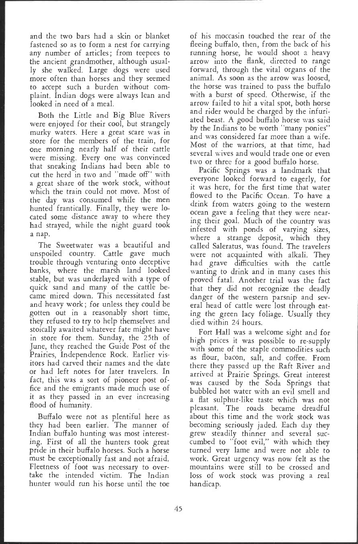and the two bars had a skin or blanket fastened so as to form a nest for carrying any number of articles; from teepees to the ancient grandmother, although usually she walked. Large dogs were used more often than horses and they seemed to accept such a burden without complaint. Indian dogs were always lean and looked in need of a meal.

Both the Little and Big Blue Rivers were enjoyed for their cool, but strangely murky waters. Here a great scare was in store for the members of the train, for one morning nearly half of their cattle were missing. Every one was convinced that sneaking Indians had been able to cut the herd in two and 'made off" with a great share of the work stock, without which the train could not move. Most of the day was consumed while the men hunted frantically. Finally, they were located some distance away to where they had strayed, while the night guard took a nap.

The Sweetwater was a beautiful and unspoiled country. Cattle gave much were not acquainted with alkali. They trouble through venturing onto deceptive banks, where the marsh land looked stable, but was underlayed with a type of quick sand and many of the cattle became mired down. This necessitated fast and heavy work; for unless they could be gotten out in a reasonably short time, they refused to try to help themselves and stoically awaited whatever fate might have in store for them. Sunday, the 25th of June, they reached the Guide Post of the Prairies, Independence Rock. Earlier visitors had carved their names and the date or had left notes for later travelers. In fact, this was a sort of pioneer post office and the emigrants made much use of it as they passed in an ever increasing flood of humanity.

Buffalo were not as plentiful here as they had been earlier. The manner of Indian buffalo hunting was most interesting. First of all the hunters took great pride in their buffalo horses. Such a horse must be exceptionally fast and not afraid. Fleetness of foot was necessary to overtake the intended victim. The Indian hunter would run his horse until the toe

of his moccasin touched the rear of the fleeing buffalo, then, from the back of his running horse, he would shoot a heavy arrow into the flank, directed to range forward, through the vital organs of the animal. As soon as the arrow was loosed, the horse was trained to pass the buffalo with a burst of speed. Otherwise, if the arrow failed to hit a vital spot, both horse and rider would be charged by the infuriated beast. A good buffalo horse was said by the Indians to be worth 'many ponies" and was considered far more than a wife. Most of the warriors, at that time, had several wives and would trade one or even two or three for a good buffalo horse.

Pacific Springs was a landmark that everyone looked forward to eagerly, for it was here, for the first time that water flowed to the Pacific Ocean. To have a drink from waters going to the western ocean gave a feeling that they were nearing their goal. Much of the country was infested with ponds of varying sizes, where a strange deposit, which they called Saleratus, was found. The travelers had grave difficulties with the cattle wanting to drink and in many cases this proved fatal. Another trial was the fact that they did not recognize the deadly danger of the western parsnip and several head of cattle were lost through eating the green lacy foliage. Usually they died within 24 hours.

Fort Hall was a welcome sight and for high prices it was possible to re-supply with some of the staple commodities such as flour, bacon, salt, and coffee. From there they passed up the Raft River and arrived at Prairie Springs. Great interest was caused by the Soda Springs that bubbled hot water with an evil smell and a flat sulphur-like taste which was not pleasant. The roads became dreadful about this time and the work stock was becoming seriously jaded. Each day they grew steadily thinner and several succumbed to "foot evil," with which they turned very lame and were not able to work. Great urgency was now felt as the mountains were still to be crossed and loss of work stock was proving a real handicap.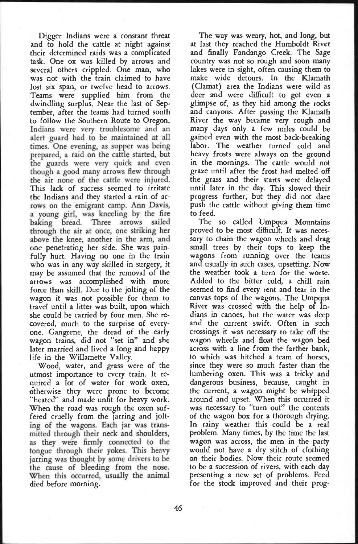Indians were very troublesome and an alert guard had to be maintained at all times. One evening, as supper was being prepared, a raid on the cattle started, but the guards were very quick and even though a good many arrows flew through the air none of the cattle were injured. rows on the emigrant camp. Ann Davis, a young girl, was kneeling by the fire baking bread. Three arrows sailed through the air at once, one striking her above the knee, another in the arm, and Digger Indians were a constant threat and to hold the cattle at night against their determined raids was a complicated task. One ox was killed by arrows and several others crippled. One man, who was not with the train claimed to have lost six span, or twelve head to arrows. Teams were supplied him from the dwindling surplus. Near the last of September, after the teams had turned south and canyons. After passing the Klamath<br>to follow the Southern Route to Oregon, River the way became very rough and to follow the Southern Route to Oregon, This lack of success seemed to irritate the Indians and they started a rain of arone penetrating her side. She was painfully hurt. Having no one in the train wagons from running over the teams who was in any way skilled in surgery, it may be assumed that the removal of the arrows was accomplished with more force than skill. Due to the jolting of the wagon it was not possible for them to travel until a litter was built, upon which she could be carried by four men. She recovered, much to the surprise of everyone. Gangrene, the dread of the early wagon trains, did not "set in" and she later married and lived a long and happy

ing of the wagons. Each jar was transmitted through their neck and shoulders, as they were firmly connected to the tongue through their yokes. This heavy jarring was thought by some drivers to be the cause of bleeding from the nose. When this occurred, usually the animal Wood, water, and grass were of the utmost importance to every train. It required a lot of water for work oxen, otherwise they were prone to become "heated" and made unfit for heavy work. When the road was rough the oxen suffered cruelly from the jarring and joltdied before morning.

The way was weary, hot, and long, but at last they reached the Humboldt River and finally Fandango Creek. The Sage country was not so rough and soon many lakes were in sight, often causing them to make wide detours. In the Klamath (Clamat) area the Indians were wild as deer and were difficult to get even a glimpse of, as they hid among the rocks and canyons. After passing the Klamath many days only a few miles could be gained even with the most back-breaking labor. The weather turned cold and heavy frosts were always on the ground in the mornings. The cattle would not graze until after the frost had melted off the grass and their starts were delayed until later in the day. This slowed their progress further, but they did not dare push the cattle without giving them time to feed.

The so called Umpqua Mountains proved to be most difficult. It was necessary to chain the wagon wheels and drag small trees by their tops to keep the and usually in such cases, upsetting. Now the weather took a turn for the worse. Added to the bitter cold, a chill rain seemed to find every rent and tear in the canvas tops of the wagons. The Umpqua River was crossed with the help of Indians in canoes, but the water was deep and the current swift. Often in such crossings it was necessary to take off the wagon wheels and float the wagon bed across with a line from the farther bank, to which was hitched a team of horses, since they were so much faster than the lumbering oxen. This was a tricky and dangerous business, because, caught in the current, a wagon might be whipped around and upset. When this occurred it was necessary to "turn out" the contents<br>of the wagon box for a thorough drying. In rainy weather this could be a real problem. Many times, by the time the last wagon was across, the men in the party would not have a dry stitch of clothing on their bodies. Now their route seemed to be a succession of rivers, with each day presenting a new set of problems. Feed for the stock improved and their prog-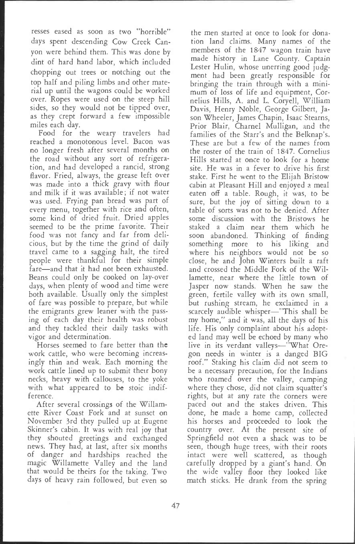resses eased as soon as two "horrible" days spent descending Cow Creek Canyon were behind them. This was done by dint of hard hand labor, which included chopping out trees or notching out the top half and piling limbs and other material up until the wagons could be worked over. Ropes were used on the steep hill sides, so they would not be tipped over, as they crept forward a few impossible miles each day.

Food for the weary travelers had reached a monotonous level. Bacon was no longer fresh after several months on the road without any sort of refrigeration, and had developed a rancid, strong flavor. Fried, always, the grease left over was made into a thick gravy with flour and milk if it was available; if not water was used. Frying pan bread was part of every menu, together with rice and often, some kind of dried fruit. Dried apples seemed to be the prime favorite. Their food was not fancy and far from delicious, but by the time the grind of daily travel came to a sagging halt, the tired people were thankful for their simple fare-and that it had not been exhausted. Beans could only be cooked on lay-over days, when plenty of wood and time were both available. Usually only the simplest of fare was possible to prepare, but while the emigrants grew leaner with the passing of each day their health was robust and they tackled their daily tasks with vigor and determination.

Horses seemed to fare better than the work cattle, who were becoming increasingly thin and weak. Each morning the work cattle lined up to submit their bony necks, heavy with callouses, to the yoke with what appeared to be stoic indifference.

After several crossings of the Willamette River Coast Fork and at sunset on November 3rd they pulled up at Eugene Skinner's cabin. It was with real joy that they shouted greetings and exchanged news. They had, at last, after six months of danger and hardships reached the magic Willamette Valley and the land that would be theirs for the taking. Two days of heavy rain followed, but even so

the men started at once to look for donation land claims. Many names of the members of the 1847 wagon train have made history in Lane County. Captain Lester Hulin, whose unerring good judgment had been greatly responsible for bringing the train through with a minimum of loss of life and equipment, Cornelius Hills, A. and L. Coryell, William Davis, Henry Noble, George Gilbert, Jason Wheeler, James Chapin, Isaac Stearns, Prior Blair, Charnel Mulligan, and the families of the Starr's and the Belknap's. These are but a few of the names from the roster of the train of 1847. Cornelius Hills started at once to look for a home site. He was in a fever to drive his first stake. First he went to the Elijah Bristow cabin at Pleasant Hill and enjoyed a meal eaten off a table. Rough, it was, to be sure, but the joy of sitting down to a table of sorts was not to be denied. After some discussion with the Bristows he staked a claim near them which he soon abandoned. Thinking of finding something more to his liking and where his neighbors would not be so close, he and John Winters built a raft and crossed the Middle Fork of the Willamette, near where the little town of Jasper now stands. When he saw the green, fertile valley with its own small, but rushing stream, he exclaimed in a scarcely audible whisper-"This shall be my home," and it was, all the days of his life. His only complaint about his adopted land may well be echoed by many who live in its verdant valleys-"What Ore-<br>gon needs in winter is a danged BIG roof." Staking his claim did not seem to be a necessary precaution, for the Indians who roamed over the valley, camping where they chose, did not claim squatter's rights, but at any rate the corners were paced out and the stakes driven. This done, he made a home camp, collected his horses and proceeded to look the country over. At the present site of Springfield not even a shack was to be seen, though huge trees, with their roots intact were well scattered, as though carefully dropped by a giant's hand. On the wide valley floor they looked like match sticks. He drank from the spring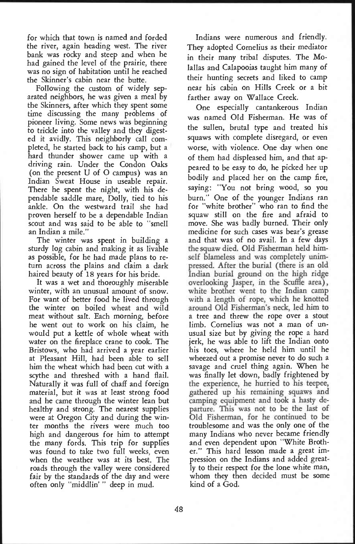for which that town is named and forded the river, again heading west. The river bank was rocky and steep and when he had gained the level of the prairie, there was no sign of habitation until he reached the Skinner's cabin near the butte.

Following the custom of widely separated neighbors, he was given a meal by the Skinners, after which they spent some time discussing the many problems of pioneer living. Some news was beginning to trickle into the valley and they digested it avidly. This neighborly call completed, he started back to his camp, but a hard thunder shower came up with a driving rain. Under the Condon Oaks (on the present U of O campus) was an Indian Sweat House in useable repair. There he spent the night, with his dependable saddle mare, Dolly, tied to his ankle. On the westward trail she had proven herself to be a dependable Indian scout and was said to be able to "smell an Indian a mile."

The winter was spent in building a sturdy log cabin and making it as livable as possible, for he had made plans to return across the plains and claim a dark haired beauty of 18 years for his bride.

It was a wet and thoroughly miserable winter, with an unusual amount of snow. For want of better food he lived through the winter on boiled wheat and wild meat without salt. Each morning, before he went out to work on his claim, he would put a kettle of whole wheat with usual size but by giving the rope a hard water on the fireplace crane to cook. The jerk, he was able to lift the Indian onto water on the fireplace crane to cook. The Bristows, who had arrived a year earlier at Pleasant Hill, had been able to sell him the wheat which had been cut with a scythe and threshed with a hand flail. Naturally it was full of chaff and foreign material, but it was at least strong food and he came through the winter lean but healthy and strong. The nearest supplies were at Oregon City and during the winter months the rivers were much too high and dangerous for him to attempt the many fords. This trip for supplies was found to take two full weeks, even when the weather was at its best. The roads through the valley were considered fair by the standards of the day and were often only "middlin'" deep in mud.

Indians were numerous and friendly. They adopted Cornelius as their mediator in their many tribal disputes. The Molallas and Calapooias taught him many of their hunting secrets and liked to camp near his cabin on Hills Creek or a bit farther away on Wallace Creek.

the squaw died. Old Fisherman held himself blameless and was completely unimpressed. After the burial (there is an old Indian burial ground on the high ridge overlooking Jasper, in the Scuffle area), white brother went to the Indian camp with a length of rope, which he knotted around Old Fisherman's neck, led him to the experience, he hurried to his teepee, gathered up his remaining squaws and camping equipment and took a hasty departure. This was not to be the last of Old Fisherman, for he continued to be One especially cantankerous Indian was named Old Fisherman. He was of the sullen, brutal type and treated his squaws with complete disregard, or even worse, with violence. One day when one of them had displeased him, and that appeared to be easy to do, he picked her up bodily and placed her on the camp fire, saying: "You not bring wood, so you burn." One of the younger Indians ran for "white brother" who ran to find the squaw still on the fire and afraid to move. She was badly burned. Their only medicine for such cases was bear's grease and that was of no avail. In a few days a tree and threw the rope over a stout limb. Cornelius was not a man of unusual size but by giving the rope a hard his toes, where he held him until he wheezed out a promise never to do such a savage and cruel thing again. When he was finally let down, badly frightened by troublesome and was the only one of the many Indians who never became friendly and even dependent upon "White Brother." This hard lesson made a great impression on the Indians and added greatly to their respect for the lone white man, whom they then decided must be some kind of a God.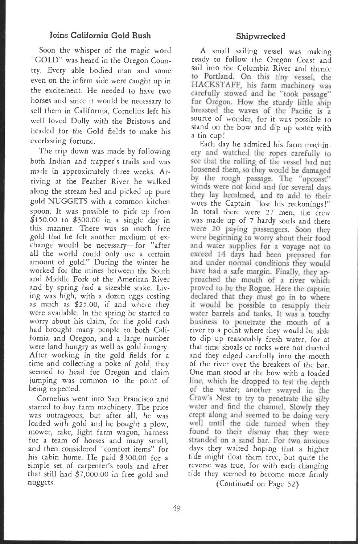#### Joins California Gold Rush

Soon the whisper of the magic word 'GOLD" was heard in the Oregon Country. Every able bodied man and some even on the infirm side were caught up in the excitement. He needed to have two horses and since it would be necessary to sell them in California, Cornelius left his well loved Dolly with the Bristows and headed for the Gold fields to make his everlasting fortune.

The trip down was made by following both Indian and trapper's trails and was made in approximately three weeks. Arriving at the Feather River he walked along the stream bed and picked up pure gold NUGGETS with a common kitchen spoon. It was possible to pick up from In total there were 27 men, the crew  $$150.00$  to  $$300.00$  in a single day in this manner. There was so much free gold that he felt another medium of exchange would be necessary-for "after all the world could only use a certain amount of gold." During the winter he worked for the mines between the South and Middle Fork of the American River and by spring had a sizeable stake. Living was high, with a dozen eggs costing as much as \$25.00, if and where they were available. In the spring he started to worry about his claim, for the gold rush had brought many people to both California and Oregon, and a large number were land hungry as well as gold hungry. After working in the gold fields for a time and collecting a poke of gold, they seemed to head for Oregon and claim jumping was common to the point of being expected.

Cornelius went into San Francisco and started to buy farm machinery. The price was outrageous, but after all, he was loaded with gold and he bought a plow, mower, rake, light farm wagon, harness for a team of horses and many small, and then considered "comfort items" for his cabin home. He paid \$300.00 for a simple set of carpenter's tools and after that still had \$7,000.00 in free gold and nuggets.

to Portland. On this tiny vessel, the HACKSTAFF, his farm machinery was carefully stowed and he 'took passage" for Oregon. How the sturdy little ship breasted the waves of the Pacific is a A small sailing vessel was making ready to follow the Oregon Coast and sail into the Columbia River and thence source of wonder, for it was possible to stand on the bow and dip up water with a tin cup!

cry and watched the ropes carefully to see that the rolling of the vessel had no loosened them, so they would be damaged by the rough passage. The 'upcoast" winds were not kind and for several days they lay becalmed, and to add to their were 20 paying passengers. Soon they were beginning to worry about their food and water supplies for a voyage not to exceed 14 days had been prepared for and under normal conditions they would have had a safe margin. Finally, they approached the mouth of a river which proved to be the Rogue. Here the captain declared that they must go in to where it would be possible to resupply their<br>water barrels and tanks. It was a touchy business to penetrate the mouth of a line, which he dropped to test the depth of the water; another swayed in the Crow's Nest to try to penetrate the silty water and find the channel. Slowly they crept along and seemed to be doing very well until the tide turned when they found to their dismay that they were stranded on a sand bar. For two anxious Each day he admired his farm machinwoes the Captain "lost his reckonings !' In total there were <sup>27</sup> men, the crew was made up of <sup>7</sup> hardy souls and there river to a point where they would be able to dip up reasonably fresh water, for at that time shoals or rocks were not charted and they edged carefully into the mouth of the river over the breakers of the bar. One man stood at the bow with a loaded days they waited hoping that a higher tide might float them free, but quite the reverse was true, for with each changing tide they seemed to become more firmly

(Continued on Page 52)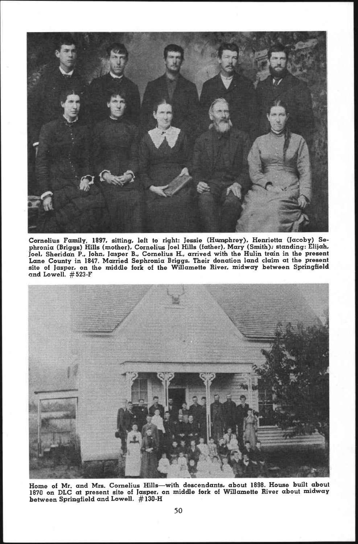

Cornelius Family. 1897. sitting. left to right: Jessie (Humphrey). Henrietta (Jacoby) Sephronia (Briggs) Hills (mother). Cornelius Joel Hills (father). Mary (Smith): standing: Elijah. Joel. Sheridan P., John. Jasper B., Co and Lowell. #523-F



Home of Mr. and Mrs. Cornelius Hills-with descendants, about 1898. House built about 1870 on DLC at present site of Jasper, on middle fork of Willamette River about midway between Springfield and Lowell. #130-H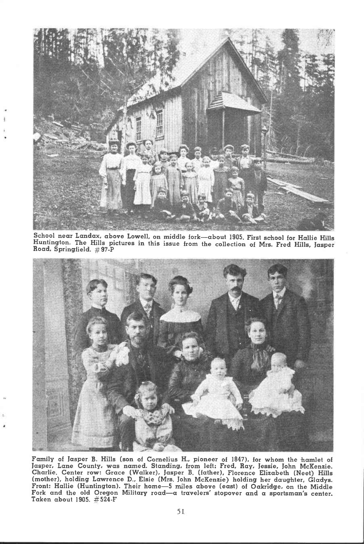

School near Landax, above Lowell, on middle fork—about 1905. First school for Hallie Hills Huntington. The Hills pictures in this issue from the collection of Mrs. Fred Hills, Jasper Road. Springfield. #97-P



Family of Jasper B. Hills (son of Cornelius H., pioneer of 1847). for whom the hamlet of Jasper, Lane County, was named. Standing, from left: Fred, Ray, Jessie, John McKenzie.<br>Charlie, Center row: Grace (Walker), Jasper B. (mother), holding Lawrence D., Elsie (Mrs. John McKenzie) holding her daughter, Grafys.<br>Front: Hallie (Huntington). Their home—5 miles above (east) of Oakridge, on the Middle<br>Fork and the old Oregon Military road—a travele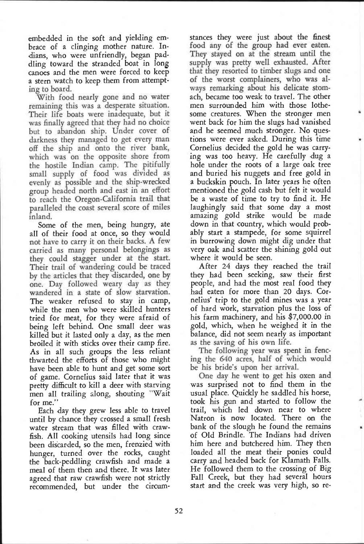embedded in the soft and yielding embrace of a clinging mother nature. Indians, who were unfriendly, began paddling toward the stranded boat in long canoes and the men were forced to keep a stern watch to keep them from attempt-

ing to board. With food nearly gone and no water remaining this was a desperate situation. Their life boats were inadequate, but it was finally agreed that they had no choice but to abandon ship. Under cover of<br>darkness they managed to get every man off the ship and onto the river bank, which was on the opposite shore from the hostile Indian camp. The pitifully small supply of food was divided as evenly as possible and the ship-wrecked group headed north and east in an effort to reach the Oregon-California trail that paralleled the coast several score of miles inland.

not have to carry it on their backs. A few carried as many personal belongings as they could stagger under at the start. Their trail of wandering could be traced After 24 days they reached the trail by the articles that they discarded, one by one. Day followed weary day as they wandered in a state of slow starvation. Some of the men, being hungry, ate all of their food at once, so they would The weaker refused to stay in camp, while the men who were skilled hunters tried for meat, for they were afraid of being left behind. One small deer was killed but it lasted only a day, as the men<br>broiled it with sticks over their camp fire. As in all such groups the less reliant thwarted the efforts of those who might have been able to hunt and get some sort of game. Cornelius said later that it was pretty difficult to kill a deer with starving men all trailing along, shouting "Wait for me.'

Each day they grew less able to travel until by chance they crossed a small fresh water stream that was filled with crawfish. All cooking utensils had long since been discarded, so the men, frenzied with hunger, turned over the rocks, caught the back-peddling crawfish and made a meal of them then and there. It was later agreed that raw crawfish were not strictly recommended, but under the circum-

food any of the group had ever eaten. They stayed on at the stream until the supply was pretty well exhausted. After that they resorted to timber slugs aad one of the worst complainers, who was always remarking about his delicate stomstances they were just about the finest ach, became too weak to travel. The other men surrounded him with those lothesome creatures. When the stronger men went back for him the slugs had vanished and he seemed much stronger. No questions were ever asked. During this time Cornelius decided the gold he was carrying was too heavy. He carefully dug a hole under the roots of a large oak tree and buried his nuggets and free gold in a buckskin pouch. In later years he often mentioned the gold cash but felt it would be a waste of time to try to find it. He laughingly said that some day a most amazing gold strike would be made down in that country, which would probably start a stampede, for some squirrel in burrowing down might dig under that very oak and scatter the shining gold out where it would be seen.

as the saving of his own life. they had been seeking, saw their first people, and had the most real food they had eaten for more than 20 days. Cornelius' trip to the gold mines was a year of hard work, starvation plus the loss of his farm machinery, and his \$7,000.00 in gold, which, when he weighed it in the balance, did not seem nearly as important

The following year was spent in fencing the 640 acres, half of which would be his bride's upon her arrival.

One day he went to get his oxen and was surprised not to find them in the usual place. Quickly he saddled his horse, took his gun and started to follow the trail, which led down near to where Natron is now located. There on the bank of the slough he found the remains of Old Brindle. The Indians had driven him here and butchered him. They then loaded all the meat their ponies could carry and headed back for Klamath Falls. He followed them to the crossing of Big Fall Creek, but they had several hours start and the creek was very high, so re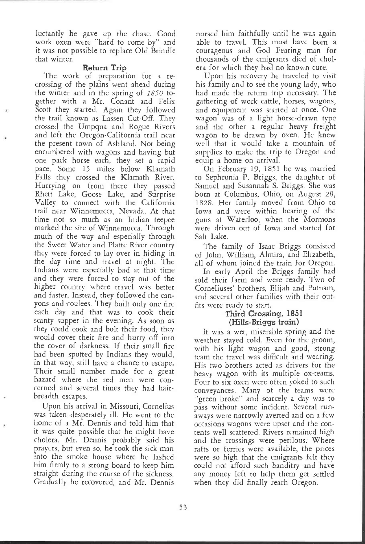luctantly he gave up the chase. Good work oxen were "hard to come by" and it was not possible to replace Old Brindle that winter.

**Return Trip**<br>The work of preparation for a re-<br>crossing of the plains went ahead during the winter and in the spring of 1850 together with a Mr. Conant and Felix Scott they started. Again they followed the trail known as Lassen Cut-Off. They crossed the Umpqua and Rogue Rivers and left the Oregon-California trail near the present town of Ashland. Not being encumbered with wagons and having but one pack horse each, they set a rapid pace. Some <sup>15</sup> miles below Klamath Falls they crossed the Klamath River. Hurrying on from there they passed Rhett Lake, Goose Lake, and Surprise Valley to connect with the California trail near Winnemucca, Nevada. At that time not so much as an Indian teepee marked the site of Winnemucca. Through much of the way and especially through the Sweet Water and Platte River country they were forced to lay over in hiding in the day time and travel at night. The Indians were especially bad at that time and they were forced to stay out of the higher country where travel was better and faster. Instead, they followed the canyons and coulees. They built only one fire each day and that was to cook their scanty supper in the evening. As soon as they could cook and bolt their food, they would cover their fire and hurry off into the cover of darkness. If their small fire had been spotted by Indians they would, in that way, still have a chance to escape. Their small number made for a great hazard where the red men were concerned and several times they had hairbreadth escapes.

Upon his arrival in Missouri, Cornelius was taken desperately ill. He went to the home of a Mr. Dennis and told him that it was quite possible that he might have cholera. Mr. Dennis probably said his prayers, but even so, he took the sick man into the smoke house where he lashed him firmly to a strong board to keep him straight during the course of the sickness. Gradually he recovered, and Mr. Dennis

nursed him faithfully until he was again able to travel. This must have been a courageous and God Fearing man for thousands of the emigrants died of cholera for which they had no known cure.

Upon his recovery he traveled to visit his family and to see the young lady, who had made the return trip necessary. The gathering of work cattle, horses, wagons, and equipment was started at once. One wagon was of a light horse-drawn type wagon to be drawn by oxen. He knew well that it would take a mountain of supplies to make the trip to Oregon and equip a home on arrival.

On February 19, 1851 he was married to Sephronia P. Briggs, the daughter of Samuel and Susannah S. Briggs. She was born at Columbus, Ohio, on August 28, 1828. Her family moved from Ohio to guns at Waterloo, when the Mormons were driven out of Iowa and started for Salt Lake.

The family of Isaac Briggs consisted of John, William, Almira, and Elizabeth, all of whom joined the train for Oregon.

In early April the Briggs family had sold their farm and were ready. Two of Corneliuses' brothers, Elijah and Putnam, and several other families with their outfits were ready to start.

#### Third Crossing, 1851 (Hills-Briggs train)

It was a wet, miserable spring and the weather stayed cold. Even for the groom, with his light wagon and good, strong team the travel was difficult and wearing. His two brothers acted as drivers for the heavy wagon with its multiple ox-teams. Four to six oxen were often yoked to such conveyances. Many of the teams were 'green broke'' and scarcely a day was to pass without some incident. Several runaways were narrowly averted and on a few occasions wagons were upset and the contents well scattered. Rivers remained high and the crossings were perilous. Where rafts or ferries were available, the prices were so high that the emigrants felt they could not afford such banditry and have any money left to help them get settled when they did finally reach Oregon.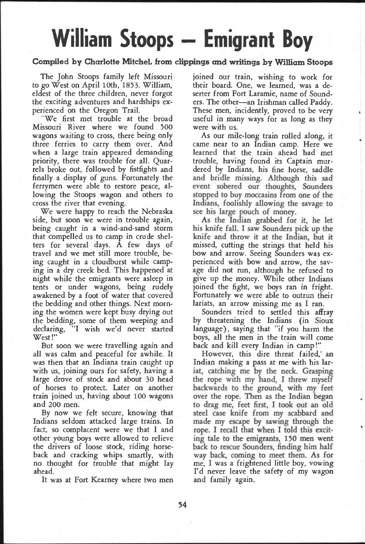# William Stoops - Emigrant Boy

#### Compiled by Charlotte Mitchel, from clippings and writings by William Stoops

The John Stoops family left Missouri to go West on April 10th, 1853. William, eldest of the three children, never forgot the exciting adventures and hardships ex-

perienced on the Oregon Trail. We first met trouble at the broad Missouri River where we found 500 wagons waiting to cross, there being only three ferries to carry them over. And when a large train appeared demanding priority, there was trouble for all. Quarrels broke out, followed by fistfights and finally a display of guns. Fortunately the ferrymen were able to restore peace, allowing the Stoops wagon and others to cross the river that evening.

We were happy to reach the Nebraska side, but soon we were in trouble again, being caught in a wind-and-sand storm that compelled us to camp in crude shelters for several days. A few days of travel and we met still more trouble, being caught in a cloudburst while camping in a dry creek bed. This happened at night while the emigrants were asleep in tents or under wagons, being rudely awakened by a foot of water that covered the bedding and other things. Next morning the women were kept busy drying out the bedding, some of them weeping and by threatening the Indians (in Sioux declaring, "I wish we'd never started West!"

But soon we were travelling again and all was calm and peaceful for awhile. It was then that an Indiana train caught up with us, joining ours for safety, having a large drove of stock and about 30 head of horses to protect. Later on another train joined us, having about 100 wagons and 200 men.

By now we felt secure, knowing that Indians seldom attacked large trains. In fact, so complacent were we that I and other young boys were allowed to relieve the drivers of loose stock, riding horseback and cracking whips smartly, with no thought for trouble that might lay ahead.

It was at Fort Kearney where two men

joined our train, wishing to work for their board. One, we learned, was a deserter from Fort Laramie, name of Sounders. The other—an Irishman called Paddy. These men, incidently, proved to be very useful in many ways for as long as they were with us.

and bridle missing. Although this sad event sobered our thoughts, Sounders stopped to buy moccasins from one of the Indians, foolishly allowing the savage to see his large pouch of money. As our mile-long train rolled along, it came near to an Indian camp. Here we learned that the train ahead had met trouble, having found its Captain murdered by Indians, his fine horse, saddle

As the Indian grabbed for it, he let his knife fall. I saw Sounders pick up the knife and throw it at the Indian, but it missed, cutting the strings that held his bow and arrow. Seeing Sounders was experienced with bow and arrow, the savage did not run, although he refused to give up the money. While other Indians joined the fight, we boys ran in fright. Fortunately we were able to outrun their lariats, an arrow missing me as I ran.

Sounders tried to settled this affray language), saying that "if you harm the boys, all the men in the train will come back and kill every Indian in camp !"

iat, catching me by the neck. Grasping the rope with my hand, I threw myself backwards to the ground, with my feet over the rope. Then as the Indian began to drag me, feet first, I took out an old steel case knife from my scabbard and made my escape by sawing through the rope. I recall that when I told this exciting tale to the emigrants, 150 men went back to rescue Sounders, finding him half way back, coming to meet them. As for However, this dire threat failed, an Indian making a pass at me with his larme, I was a frightened little boy, vowing I'd never leave the safety of my wagon and family again.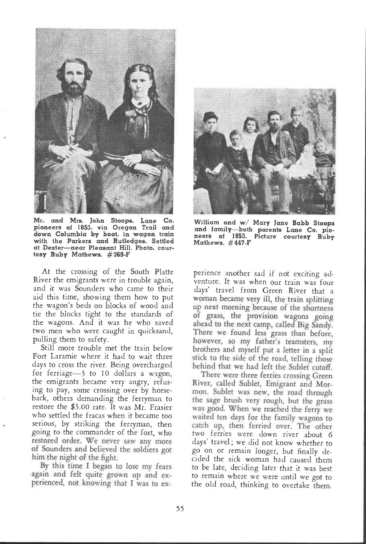

Mr. and Mrs. John Stoops. Lane Co. Mr. and Mrs. John Stoops, Lane Co. William and w/ Mary Jane Babb Stoops<br>pioneers of 1853, via Oregon Trail and and family—both parents Lane Co. pio down Columbia by boat, in wagon train with the Parkers and Butledges. Settled at Dexter-near Pleasant Hill. Photo, courtesy Ruby Mathews. #369-F

At the crossing of the South Platte River the emigrants were in trouble again, and it was Sounders who came to their aid this time, showing them how to put the wagon's beds on blocks of wood and tie the blocks tight to the standards of the wagons. And it was he who saved two men who were caught in quicksand, pulling them to safety.

restored order. We never saw any more of Sounders and believed the soldiers got him the night of the fight. Still more trouble met the train below Fort Laramie where it had to wait three days to cross the river. Being overcharged for ferriage-3 to 10 dollars a wagon, the emigrants became very angry, refusing to pay, some crossing over by horseback, others demanding the ferryman to restore the \$3.00 rate. It was Mr. Frasier who settled the fracas when it became too serious, by striking the ferryman, then going to the commander of the fort, who

By this time I began to lose my fears again and felt quite grown up and experienced, not knowing that I was to cx-



and family-both parents Lane Co. pioneers of 1853. Picture courtesy Ruby Mathews. #447-F

woman became very ill, the train splitting<br>up next morning because of the shortness of grass, the provision wagons going ahead to the next camp, called Big Sandy. There we found less grass than before, however, so my father's teamsters, my brothers and myself put a letter in a split stick to the side of the road, telling those behind that we had left the Sublet cutoff. perience another sad if not exciting adventure. It was when our train was four days' travel from Green River that a

There were three ferries crossing Green River. called Sublet, Emigrant and Mormon. Sublet was new, the road through the sage brush very rough, but the grass was good. When we reached the ferry we waited ten days for the family wagons to catch up, then ferried over. The other two ferries were down river about 6 days' travel; we did not know whether to go on or remain longer, but finally decided the sick woman had caused them to be late, deciding later that it was best to remain where we were until we got to the old road, thinking to overtake them.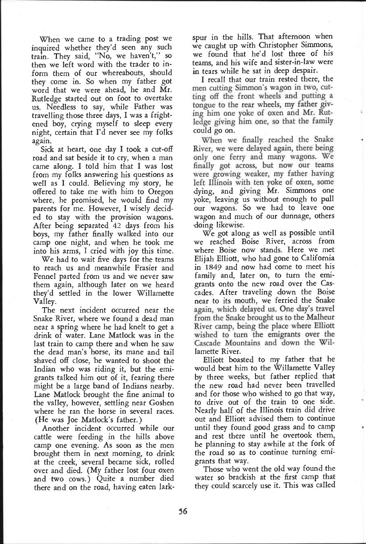inquired whether they'd seen any such train. They said, "No, we haven't," so then we left word with the trader to inform them of our whereabouts, should they come in. So when my father got word that we were ahead, he and Mr. Rutledge started out on foot to overtake us. Needless to say, while Father was travelling those three days, I was a frightened boy, crying myself to sleep every night, certain that I'd never see my folks again.

Sick at heart, one day I took a cut-off road and sat beside it to cry, when a man came along. I told him that I was lost from my folks answering his questions as well as I could. Believing my story, he offered to take me with him to Oregon where, he promised, he would find my yoke, leaving us without enough to pull parents for me. However, I wisely decid-<br>parents for me. However, I wisely decid-<br>our wagons. So we had to leave one parents for me. However, I wisely decided to stay with the provision wagons. After being separated 42 days from his boys, my father finally walked into our camp one night, and when he took me into his arms, I cried with joy this time.

We had to wait five days for the teams to reach us and meanwhile Frasier and Fennel parted from us and we never saw them again, although later on we heard they'd settled in the lower Willamette Valley.

The next incident occurred near the Snake River, where we found a dead man near a spring where he had knelt to get a drink of water. Lane Matlock was in the last train to camp there and when he saw the dead man's horse, its mane and tail shaved off close, he wanted to shoot the Indian who was riding it, but the emigrants talked him out of it, fearing there might be a large band of Indians nearby. Lane Matlock brought the fine animal to and for those who wished to go that way, the valley, however, settling near Goshen where he ran the horse in several races. (He was Joe Matlock's father.)

Another incident occurred while our cattle were feeding in the hills above camp one evening. As soon as the men brought them in next morning, to drink at the creek, several became sick, rolled over and died. (My father lost four oxen and two cows.) Quite a number died there and on the road, having eaten lark-

When we came to a trading post we spur in the hills. That afternoon when<br>mured whether they'd seen any such we caught up with Christopher Simmons, spur in the hills. That afternoon when we found that he'd lost three of his teams, and his wife and sister-in-law were in tears while he sat in deep despair.

men cutting Simmon's wagon in two, cutting off the front wheels and putting a tongue to the rear wheels, my father giv ing him one yoke of oxen and Mr. Rutledge giving him one, so that the family I recall that our train rested there, the could go on.

When we finally reached the Snake River, we were delayed again, there being only one ferry and many wagons. We finally got across, but now our teams were growing weaker, my father having left Illinois with ten yoke of oxen, some dying, and giving Mr. Simmons one yoke, leaving us without enough to pull wagon and much of our dunnage, others doing likewise.

again, which delayed us. One day's travel from the Snake brought us to the Malheur River camp, being the place where Elliott wished to turn the emigrants over the Cascade Mountains and down the Wil-We got along as well as possible until we reached Boise River, across from where Boise now stands. Here we met Elijah Elliott, who had gone to California in 1849 and now had come to meet his family and, later on, to turn the emigrants onto the new road over the Cascades. After traveling down the Boise near to its mouth, we ferried the Snake lamette River.

Elliott boasted to my father that he would beat him to the Willamette Valley by three weeks, but father replied that the new road had never been travelled to drive out of the train to one side. Nearly half of the Illinois train did drive out and Elliott advised them to continue until they found good grass and to camp and rest there until he overtook them, he planning to stay awhile at the fork of the road so as to continue turning emigrants that way.

Those who went the old way found the water so brackish at the first camp that they could scarcely use it. This was called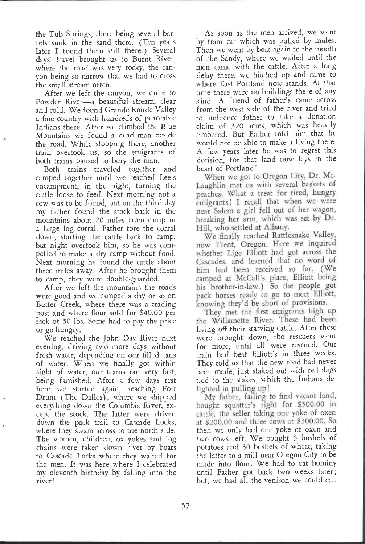the Tub Springs, there being several barrels sunk in the sand there. (Ten years later I found them still there.) Several days' travel brought us to Burnt River, where the road was very rocky, the canyon being so narrow that we had to cross the small stream often.

After we left the canyon, we came to Powder River-a beautiful stream, clear and cold. We found Grande Ronde Valley a fine country with hundreds of peaceable Indians there. After we climbed the Blue Mountains we found a dead man beside the road. While stopping there, another train overtook us, so the emigrants of both trains paused to bury the man.

Both trains traveled together and camped together until we reached Lee's encampment, in the night, turning the cattle loose to feed. Next morning not a cow was to be found, but on the third day my father found the stock back in the mountains about 20 miles from camp in a large log corral. Father tore the corral down, starting the cattle back to camp, but night overtook him, so he was compelled to make a dry camp without food. Next morning he found the cattle about three miles away. After he brought them to camp, they were double-guarded.

After we left the mountains the roads were good and we camped a day or so on Butter Creek, where there was a trading post and where flour sold for \$40.00 per sack of 50 lbs. Some had to pay the price or go hungry.

We reached the John Day River next evening, driving two more days without fresh water, depending on our filled cans of water. When we finally got within sight of water, our teams ran very fast, being famished. After a few days rest here we started again, reaching Fort Drum (The Dalles), where we shipped everything down the Columbia River, except the stock. The latter were driven down the pack trail to Cascade Locks, where they swam across to the north side. The women, children, ox yokes and log chains were taken down river by boats to Cascade Locks where they waited for the latter to a mill near Oregon City to be<br>the men. It was here where I celebrated made into flour. We had to eat hominy the men. It was here where I celebrated my eleventh birthday by falling into the river!

As soon as the men arrived, we went by tram car which was pulled by mules. Then we went by boat again to the mouth of the Sandy, where we waited until the men came with the cattle. After a long delay there, we hitched up and came to where East Portland now stands. At that time there were no buildings there of any kind. A friend of father's came across from the west side of the river and tried to influence father to take a donation claim of 320 acres, which was heavily timbered. But Father told him that he would not be able to make a living there. A few years later he was to regret this decision, for that land now lays in the heart of Portland!

When we got to Oregon City, Dr. Mc-Laughlin met us with several baskets of peaches. What a treat for tired, hungry emigrants! I recall that when we were near Salem a girl fell out of her wagon, breaking her arm, which was set by Dr. Hill. who settled at Albany.

We finally reached Rattlesnake Valley, now Trent, Oregon. Here we inquired whether Lige Elliott had got across the Cascades, and learned that no word of him had been received so far. (We camped at McCall's place, Elliott being his brother-in-law.) So the people got pack horses ready to go to meet Elliott, knowing they'd be short of provisions.

They met the first emigrants high up the Willamette River. These had been living off their starving cattle. After these were brought down, the rescuers went for more, until all were rescued. Our train had beat Elliott's in three weeks. They told us that the new road had never been made, just staked out with red flags tied to the stakes, which the Indians de-

lighted in pulling up! My father, failing to find vacant land, bought squatter's right for \$500.00 in cattle, the seller taking one yoke of oxen at \$200.00 and three cows at \$300.00. So then we only had one yoke of oxen and two cows left. We bought 5 bushels of potatoes and 30 bushels of wheat, taking the latter to a mill near Oregon City to be until Father got back two weeks later; but, we had all the venison we could eat.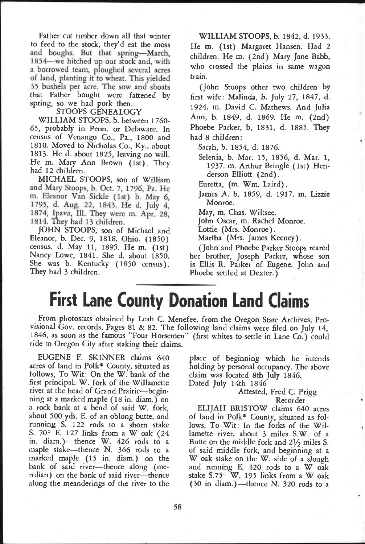and boughs. But that spring-March, 1854-we hitched up our stock and, with a borrowed team, ploughed several acres of land, planting it to wheat. This yielded 35 bushels per acre. The sow and shoats Father cut timber down all that winter to feed to the stock, they'd eat the moss that Father bought were fattened by spring, so we had pork then.

STOOPS GENEALOGY

WILLIAM STOOPS, b. between 1760- 65, probably in Penn. or Delaware. In census of Venango Co., Pa., 1800 and 1810. Moved to Nicholas Co., Ky., about 1813. He d. about 1825, leaving no will. He m. Mary Ann Brown (1st). They had 12 children.

and Mary Stoops, b. Oct. 7, 1796, Pa. He m. Eleanor Van Sickle (1st) b. May 6, 1795, d. Aug. 22, 1843. He d. July 4, 1874, Ipava. Ill. They were m. Apr. 28, 1814. They had 13 children. MICHAEL STOOPS, son of William

JOHN STOOPS, son of Michael and Eleanor, b. Dec. 9, 1818, Ohio. (1850) census. d. May 11, 1895. He m. (1st) She was b. Kentucky (1850 census). They had 3 children.

WILLIAM STOOPS, b. 1842, d. 1933. He m. (1st) Margaret Hansen. Had 2 children. He m. (2nd) Mary Jane Babb, who crossed the plains in same wagon train.

(John Stoops other two children by first wife: Malinda, b. July 27, 1847, d. 1924. m. David C. Mathews. And Julia Ann, b. 1849, d. 1869. He m. (2nd) Phoebe Parker, b, 1831, d. 1885. They had 8 children:

Sarah, b. 1854, d. 1876.

Selenia, b. Mar. 15, 1856, d. Mar. 1, 1937. m. Arthur Bringle (1st) Henderson Elliott (2nd).

Euretta, (m. Wm. Laird).

James A. b. 1859, d. 1917. m. Lizzie Monroe.

May, m. Chas. Wiltsee.

John Oscar, m. Rachel Monroe.

Lottie (Mrs. Monroe).

Martha (Mrs. James Keeney).

(John and Phoebe Parker Stoops reared her brother, Joseph Parker, whose son is Ellis R. Parker of Eugene. John and Phoebe settled at Dexter.)

### First Lane County Donation Land Claims

From photostats obtained by Leah C. Menefee, from the Oregon State Archives, Provisional Gov. records, Pages 81 & 82. The following land claims were filed on July 14, 1846, as soon as the famous "Four Horsemen" (first whites to settle in Lane Co.) could ride to Oregon City after staking their claims.

EUGENE F. SKINNER claims 640 acres of land in Polk\* County, situated as follows, To Wit: On the W. bank of the first principal. W. fork of the Willamette river at the head of Grand Prairie-beginning at a marked maple (18 in. diam.) on a rock bank at a bend of said W. fork, about 500 yds. E. of an oblong butte, and running 5. 122 rods to a shorn stake S. 70° E. 127 links from a W oak (24 in. diam.)—thence W. 426 rods to a maple stake—thence N. 366 rods to a marked maple (15 in. diam.) on the bank of said river—thence along (meridian) on the bank of said river—thence along the meanderings of the river to the

place of beginning which he intends holding by personal occupancy. The above claim was located 8th July 1846.

Dated July 14th 1846

Attested, Fred C. Prigg Recorder

ELIJAH BRISTOW claims 640 acres of land in Polk\* County, situated as follows, To Wit: In the forks of the Willamette river, about 3 miles S.W. of a Butte on the middle fork and  $2\frac{1}{2}$  miles S. of said middle fork, and beginning at a W oak stake on the W. side of a slough and running E. 320 rods to a W oak stake S.75° W. 195 links from a W oak  $(30 \text{ in } \text{diam.})$  --thence N. 320 rods to a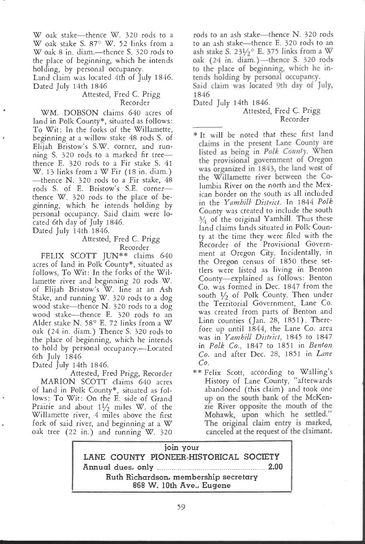W oak stake-thence W. 320 rods to a W oak stake S. 87° W. 52 links from a W oak 8 in. diam.---thence S. 320 rods to the place of beginning, which he intends holding, by personal occupancy.

Land claim was located 4th of July 1846. Dated July 14th 1846

#### Attested, Fred C. Prigg Recorder

WM. DOBSON claims 640 acres of land in Polk County\*, situated as follows: To Wit: In the forks of the Willamette, beginning at a willow stake 48 rods S. of Elijah Bristow's SW. corner, and running S. 320 rods to a marked fir tree thence E. 320 rods to a Fir stake S. 41 W. 13 links from a W Fir (18 in. diam.)  $-$ thence N. 320 rods to a Fir stake, 48 rods S. of E. Bristow's S.E. cornerthence W. 320 rods to the place of beginning, which he intends holding by personal occupancy. Said claim were located 6th day of July 1846.

Dated July 14th 1846.

#### Attested, Fred C. Prigg Recorder

FELIX SCOTT JUN\*\* claims 640 acres of land in Polk County\*, situated as follows, To Wit: In the forks of the Willamette river and beginning 20 rods W. of Elijah Bristow's W. line at an Ash Stake, and running W. 320 rods to a dog wood stake--thence N. 320 rods to a dog<br>wood stake--thence E. 320 rods to an Alder stake N. 58° E. 72 links from a W oak (24 in. diam.) Thence S. 320 rods to the place of beginning, which he intends to hold by personal occupancy.—Located 6th July 1846

Dated July 14th 1846.

Attested, Fred Prigg, Recorder MARION SCOTT claims 640 acres of land in Polk County\*, situated as follows: To Wit: On the E. side of Grand Prairie and about  $1\frac{1}{2}$  miles W. of the Willamette river, 4 miles above the first fork of said river, and beginning at a W oak tree (22 in.) and running W. 320 ash stake S. 231/2° E. 375 links from a W oak (24 in. diam.)—thence S. 320 rods to the place of beginning, which he in. tends holding by personal occupancy. rods to an ash stake-thence N. 320 rods to an ash stake-thence E. 320 rods to an

Said claim was located 9th day of July, 1846

Dated July 14th 1846.

#### Attested, Fred C. Prigg Recorder

claims in the present Lane County are listed as being in Polk County. When the provisional government of Oregon was organized in 1843, the land west of the Willamette river between the Co-\* It will be noted that these first land lumbia River on the north and the Mexican border on the south as all included in the Yambill District. In 1844 Polk County was created to include the south  $\frac{3}{4}$  of the original Yamhill. Thus these land claims lands situated in Polk County at the time they were filed with the Recorder of the Provisional Government at Oregon City. Incidentally, in the Oregon census of 1850 these settlers were listed as living in Benton County-explained as follows: Benton Co. was formed in Dec. 1847 from the south  $1/2$  of Polk County. Then under the Territorial Government, Lane Co. was created from parts of Benton and Linn counties (Jan. 28, 1851). Therefore up until 1844, the Lane Co. area was in Yamhill District, 1845 to 1847 in Polk Co., 1847 to 1851 in Benton Co. and after Dec. 28, 1851 in Lane Co.

up on the south bank of the McKenzie River opposite the mouth of the Mohawk, upon which he settled." The original claim entry is marked, canceled at the request of the claimant. \* \* Felix Scott, according to Walling's History of Lane County, "afterwards abandoned (this claim) and took one

join your LANE COUNTY PIONEER-HISTORICAL SOCIETY Annual dues, only Ruth Richardson, membership secretary 868 W. 10th Ave., Eugene 2.00